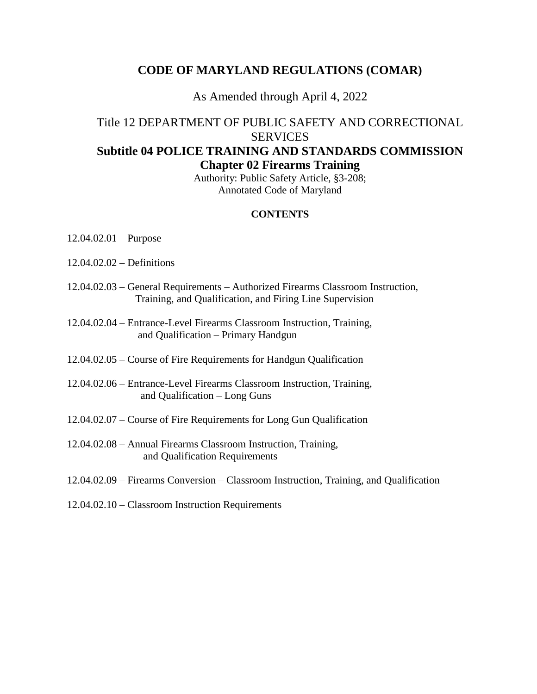### **CODE OF MARYLAND REGULATIONS (COMAR)**

### As Amended through April 4, 2022

## Title 12 DEPARTMENT OF PUBLIC SAFETY AND CORRECTIONAL **SERVICES Subtitle 04 POLICE TRAINING AND STANDARDS COMMISSION Chapter 02 Firearms Training**

Authority: Public Safety Article, §3-208; Annotated Code of Maryland

#### **CONTENTS**

- 12.04.02.01 Purpose
- 12.04.02.02 Definitions
- 12.04.02.03 General Requirements Authorized Firearms Classroom Instruction, Training, and Qualification, and Firing Line Supervision
- 12.04.02.04 Entrance-Level Firearms Classroom Instruction, Training, and Qualification – Primary Handgun
- 12.04.02.05 Course of Fire Requirements for Handgun Qualification
- 12.04.02.06 Entrance-Level Firearms Classroom Instruction, Training, and Qualification – Long Guns
- 12.04.02.07 Course of Fire Requirements for Long Gun Qualification
- 12.04.02.08 Annual Firearms Classroom Instruction, Training, and Qualification Requirements
- 12.04.02.09 Firearms Conversion Classroom Instruction, Training, and Qualification
- 12.04.02.10 Classroom Instruction Requirements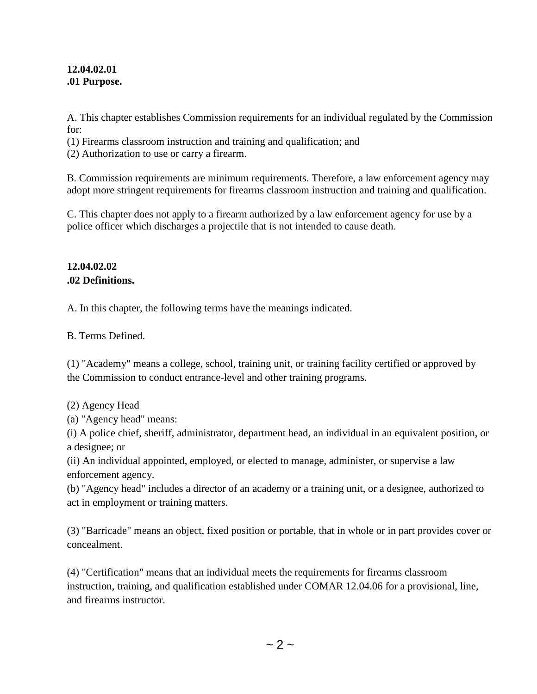#### **12.04.02.01 .01 Purpose.**

A. This chapter establishes Commission requirements for an individual regulated by the Commission for:

(1) Firearms classroom instruction and training and qualification; and

(2) Authorization to use or carry a firearm.

B. Commission requirements are minimum requirements. Therefore, a law enforcement agency may adopt more stringent requirements for firearms classroom instruction and training and qualification.

C. This chapter does not apply to a firearm authorized by a law enforcement agency for use by a police officer which discharges a projectile that is not intended to cause death.

## **12.04.02.02 .02 Definitions.**

A. In this chapter, the following terms have the meanings indicated.

B. Terms Defined.

(1) "Academy" means a college, school, training unit, or training facility certified or approved by the Commission to conduct entrance-level and other training programs.

(2) Agency Head

(a) "Agency head" means:

(i) A police chief, sheriff, administrator, department head, an individual in an equivalent position, or a designee; or

(ii) An individual appointed, employed, or elected to manage, administer, or supervise a law enforcement agency.

(b) "Agency head" includes a director of an academy or a training unit, or a designee, authorized to act in employment or training matters.

(3) "Barricade" means an object, fixed position or portable, that in whole or in part provides cover or concealment.

(4) "Certification" means that an individual meets the requirements for firearms classroom instruction, training, and qualification established under COMAR 12.04.06 for a provisional, line, and firearms instructor.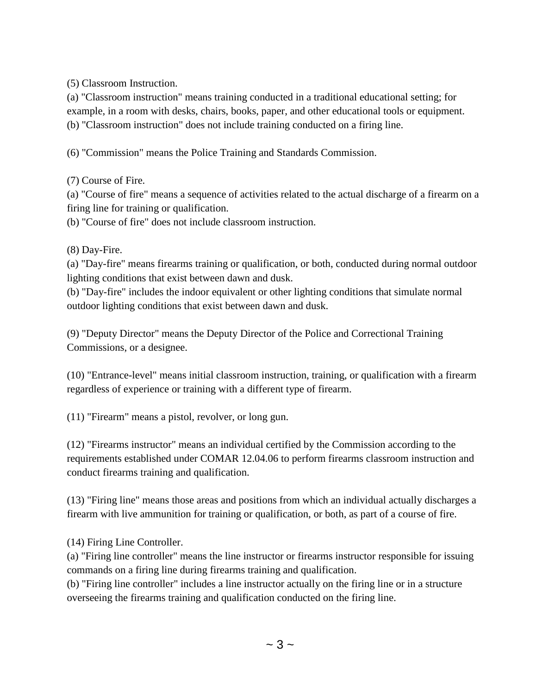(5) Classroom Instruction.

(a) "Classroom instruction" means training conducted in a traditional educational setting; for example, in a room with desks, chairs, books, paper, and other educational tools or equipment. (b) "Classroom instruction" does not include training conducted on a firing line.

(6) "Commission" means the Police Training and Standards Commission.

(7) Course of Fire.

(a) "Course of fire" means a sequence of activities related to the actual discharge of a firearm on a firing line for training or qualification.

(b) "Course of fire" does not include classroom instruction.

(8) Day-Fire.

(a) "Day-fire" means firearms training or qualification, or both, conducted during normal outdoor lighting conditions that exist between dawn and dusk.

(b) "Day-fire" includes the indoor equivalent or other lighting conditions that simulate normal outdoor lighting conditions that exist between dawn and dusk.

(9) "Deputy Director" means the Deputy Director of the Police and Correctional Training Commissions, or a designee.

(10) "Entrance-level" means initial classroom instruction, training, or qualification with a firearm regardless of experience or training with a different type of firearm.

(11) "Firearm" means a pistol, revolver, or long gun.

(12) "Firearms instructor" means an individual certified by the Commission according to the requirements established under COMAR 12.04.06 to perform firearms classroom instruction and conduct firearms training and qualification.

(13) "Firing line" means those areas and positions from which an individual actually discharges a firearm with live ammunition for training or qualification, or both, as part of a course of fire.

(14) Firing Line Controller.

(a) "Firing line controller" means the line instructor or firearms instructor responsible for issuing commands on a firing line during firearms training and qualification.

(b) "Firing line controller" includes a line instructor actually on the firing line or in a structure overseeing the firearms training and qualification conducted on the firing line.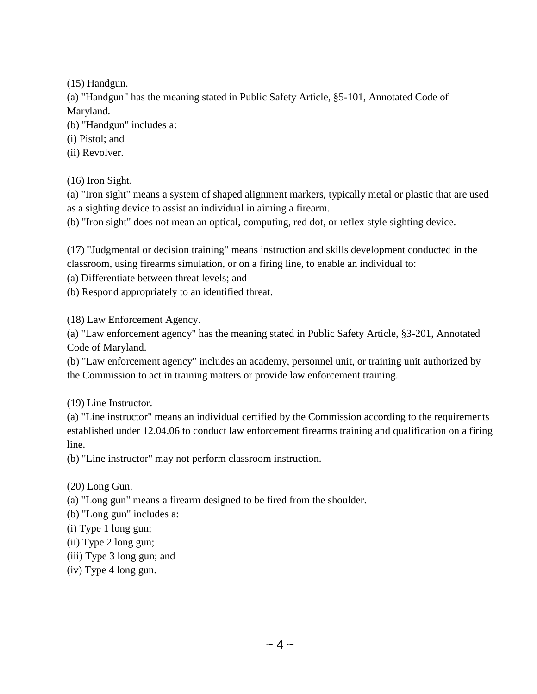(15) Handgun.

(a) "Handgun" has the meaning stated in Public Safety Article, §5-101, Annotated Code of Maryland.

(b) "Handgun" includes a:

(i) Pistol; and

(ii) Revolver.

(16) Iron Sight.

(a) "Iron sight" means a system of shaped alignment markers, typically metal or plastic that are used as a sighting device to assist an individual in aiming a firearm.

(b) "Iron sight" does not mean an optical, computing, red dot, or reflex style sighting device.

(17) "Judgmental or decision training" means instruction and skills development conducted in the classroom, using firearms simulation, or on a firing line, to enable an individual to:

(a) Differentiate between threat levels; and

(b) Respond appropriately to an identified threat.

(18) Law Enforcement Agency.

(a) "Law enforcement agency" has the meaning stated in Public Safety Article, §3-201, Annotated Code of Maryland.

(b) "Law enforcement agency" includes an academy, personnel unit, or training unit authorized by the Commission to act in training matters or provide law enforcement training.

(19) Line Instructor.

(a) "Line instructor" means an individual certified by the Commission according to the requirements established under 12.04.06 to conduct law enforcement firearms training and qualification on a firing line.

(b) "Line instructor" may not perform classroom instruction.

(20) Long Gun.

(a) "Long gun" means a firearm designed to be fired from the shoulder.

(b) "Long gun" includes a:

(i) Type 1 long gun;

- (ii) Type 2 long gun;
- (iii) Type 3 long gun; and
- (iv) Type 4 long gun.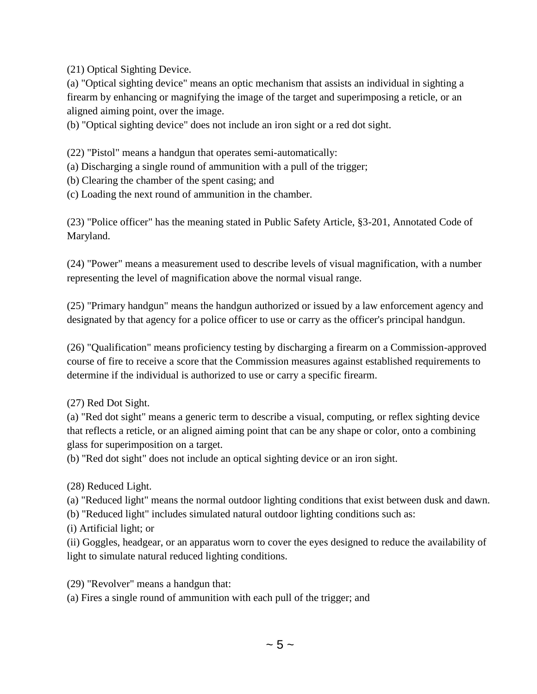(21) Optical Sighting Device.

(a) "Optical sighting device" means an optic mechanism that assists an individual in sighting a firearm by enhancing or magnifying the image of the target and superimposing a reticle, or an aligned aiming point, over the image.

(b) "Optical sighting device" does not include an iron sight or a red dot sight.

(22) "Pistol" means a handgun that operates semi-automatically:

- (a) Discharging a single round of ammunition with a pull of the trigger;
- (b) Clearing the chamber of the spent casing; and
- (c) Loading the next round of ammunition in the chamber.

(23) "Police officer" has the meaning stated in Public Safety Article, §3-201, Annotated Code of Maryland.

(24) "Power" means a measurement used to describe levels of visual magnification, with a number representing the level of magnification above the normal visual range.

(25) "Primary handgun" means the handgun authorized or issued by a law enforcement agency and designated by that agency for a police officer to use or carry as the officer's principal handgun.

(26) "Qualification" means proficiency testing by discharging a firearm on a Commission-approved course of fire to receive a score that the Commission measures against established requirements to determine if the individual is authorized to use or carry a specific firearm.

(27) Red Dot Sight.

(a) "Red dot sight" means a generic term to describe a visual, computing, or reflex sighting device that reflects a reticle, or an aligned aiming point that can be any shape or color, onto a combining glass for superimposition on a target.

(b) "Red dot sight" does not include an optical sighting device or an iron sight.

(28) Reduced Light.

(a) "Reduced light" means the normal outdoor lighting conditions that exist between dusk and dawn.

(b) "Reduced light" includes simulated natural outdoor lighting conditions such as:

(i) Artificial light; or

(ii) Goggles, headgear, or an apparatus worn to cover the eyes designed to reduce the availability of light to simulate natural reduced lighting conditions.

(29) "Revolver" means a handgun that:

(a) Fires a single round of ammunition with each pull of the trigger; and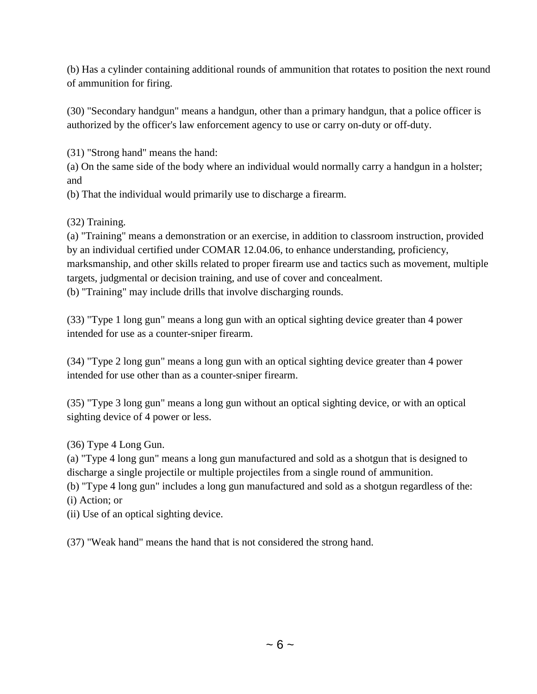(b) Has a cylinder containing additional rounds of ammunition that rotates to position the next round of ammunition for firing.

(30) "Secondary handgun" means a handgun, other than a primary handgun, that a police officer is authorized by the officer's law enforcement agency to use or carry on-duty or off-duty.

(31) "Strong hand" means the hand:

(a) On the same side of the body where an individual would normally carry a handgun in a holster; and

(b) That the individual would primarily use to discharge a firearm.

(32) Training.

(a) "Training" means a demonstration or an exercise, in addition to classroom instruction, provided by an individual certified under COMAR 12.04.06, to enhance understanding, proficiency, marksmanship, and other skills related to proper firearm use and tactics such as movement, multiple targets, judgmental or decision training, and use of cover and concealment.

(b) "Training" may include drills that involve discharging rounds.

(33) "Type 1 long gun" means a long gun with an optical sighting device greater than 4 power intended for use as a counter-sniper firearm.

(34) "Type 2 long gun" means a long gun with an optical sighting device greater than 4 power intended for use other than as a counter-sniper firearm.

(35) "Type 3 long gun" means a long gun without an optical sighting device, or with an optical sighting device of 4 power or less.

(36) Type 4 Long Gun.

(a) "Type 4 long gun" means a long gun manufactured and sold as a shotgun that is designed to discharge a single projectile or multiple projectiles from a single round of ammunition.

(b) "Type 4 long gun" includes a long gun manufactured and sold as a shotgun regardless of the: (i) Action; or

(ii) Use of an optical sighting device.

(37) "Weak hand" means the hand that is not considered the strong hand.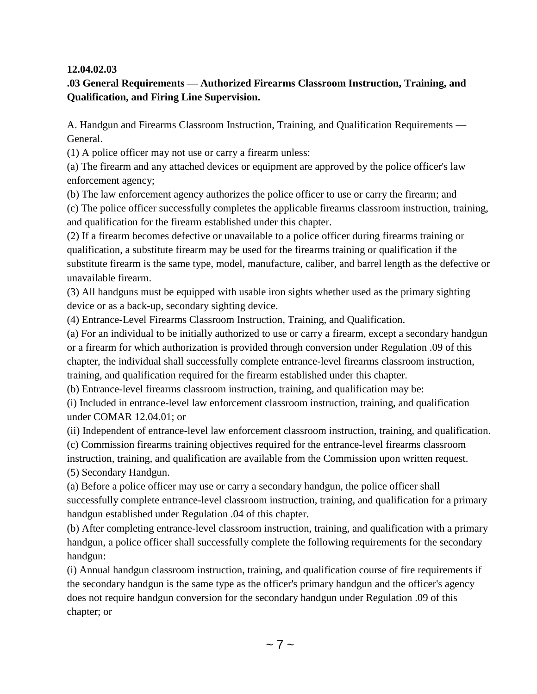### **12.04.02.03**

## **.03 General Requirements — Authorized Firearms Classroom Instruction, Training, and Qualification, and Firing Line Supervision.**

A. Handgun and Firearms Classroom Instruction, Training, and Qualification Requirements — General.

(1) A police officer may not use or carry a firearm unless:

(a) The firearm and any attached devices or equipment are approved by the police officer's law enforcement agency;

(b) The law enforcement agency authorizes the police officer to use or carry the firearm; and

(c) The police officer successfully completes the applicable firearms classroom instruction, training, and qualification for the firearm established under this chapter.

(2) If a firearm becomes defective or unavailable to a police officer during firearms training or qualification, a substitute firearm may be used for the firearms training or qualification if the substitute firearm is the same type, model, manufacture, caliber, and barrel length as the defective or unavailable firearm.

(3) All handguns must be equipped with usable iron sights whether used as the primary sighting device or as a back-up, secondary sighting device.

(4) Entrance-Level Firearms Classroom Instruction, Training, and Qualification.

(a) For an individual to be initially authorized to use or carry a firearm, except a secondary handgun or a firearm for which authorization is provided through conversion under Regulation .09 of this chapter, the individual shall successfully complete entrance-level firearms classroom instruction, training, and qualification required for the firearm established under this chapter.

(b) Entrance-level firearms classroom instruction, training, and qualification may be:

(i) Included in entrance-level law enforcement classroom instruction, training, and qualification under COMAR 12.04.01; or

(ii) Independent of entrance-level law enforcement classroom instruction, training, and qualification.

(c) Commission firearms training objectives required for the entrance-level firearms classroom

instruction, training, and qualification are available from the Commission upon written request. (5) Secondary Handgun.

(a) Before a police officer may use or carry a secondary handgun, the police officer shall successfully complete entrance-level classroom instruction, training, and qualification for a primary handgun established under Regulation .04 of this chapter.

(b) After completing entrance-level classroom instruction, training, and qualification with a primary handgun, a police officer shall successfully complete the following requirements for the secondary handgun:

(i) Annual handgun classroom instruction, training, and qualification course of fire requirements if the secondary handgun is the same type as the officer's primary handgun and the officer's agency does not require handgun conversion for the secondary handgun under Regulation .09 of this chapter; or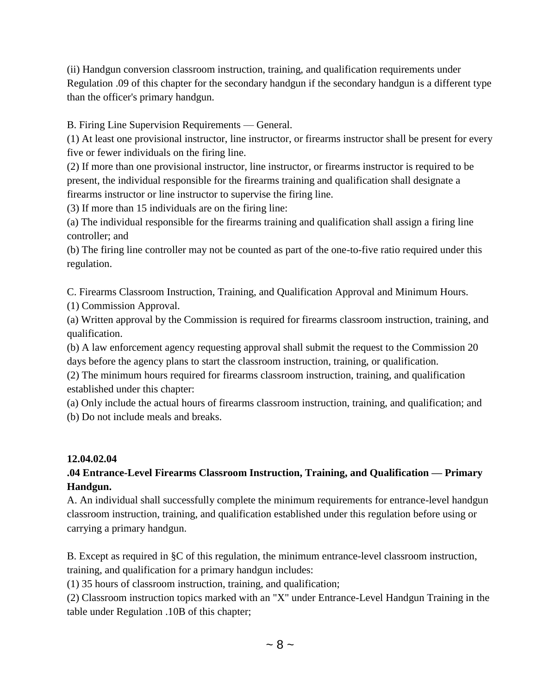(ii) Handgun conversion classroom instruction, training, and qualification requirements under Regulation .09 of this chapter for the secondary handgun if the secondary handgun is a different type than the officer's primary handgun.

B. Firing Line Supervision Requirements — General.

(1) At least one provisional instructor, line instructor, or firearms instructor shall be present for every five or fewer individuals on the firing line.

(2) If more than one provisional instructor, line instructor, or firearms instructor is required to be present, the individual responsible for the firearms training and qualification shall designate a firearms instructor or line instructor to supervise the firing line.

(3) If more than 15 individuals are on the firing line:

(a) The individual responsible for the firearms training and qualification shall assign a firing line controller; and

(b) The firing line controller may not be counted as part of the one-to-five ratio required under this regulation.

C. Firearms Classroom Instruction, Training, and Qualification Approval and Minimum Hours.

(1) Commission Approval.

(a) Written approval by the Commission is required for firearms classroom instruction, training, and qualification.

(b) A law enforcement agency requesting approval shall submit the request to the Commission 20 days before the agency plans to start the classroom instruction, training, or qualification.

(2) The minimum hours required for firearms classroom instruction, training, and qualification established under this chapter:

(a) Only include the actual hours of firearms classroom instruction, training, and qualification; and (b) Do not include meals and breaks.

## **12.04.02.04**

# **.04 Entrance-Level Firearms Classroom Instruction, Training, and Qualification — Primary Handgun.**

A. An individual shall successfully complete the minimum requirements for entrance-level handgun classroom instruction, training, and qualification established under this regulation before using or carrying a primary handgun.

B. Except as required in §C of this regulation, the minimum entrance-level classroom instruction, training, and qualification for a primary handgun includes:

(1) 35 hours of classroom instruction, training, and qualification;

(2) Classroom instruction topics marked with an "X" under Entrance-Level Handgun Training in the table under Regulation .10B of this chapter;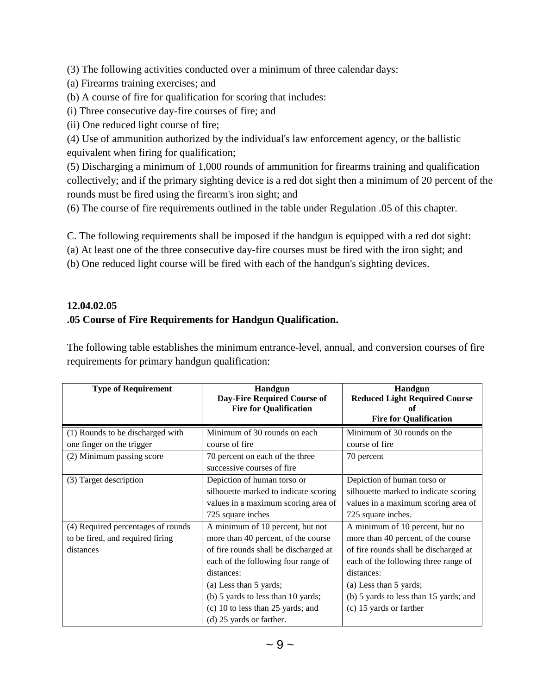(3) The following activities conducted over a minimum of three calendar days:

- (a) Firearms training exercises; and
- (b) A course of fire for qualification for scoring that includes:
- (i) Three consecutive day-fire courses of fire; and
- (ii) One reduced light course of fire;

(4) Use of ammunition authorized by the individual's law enforcement agency, or the ballistic equivalent when firing for qualification;

(5) Discharging a minimum of 1,000 rounds of ammunition for firearms training and qualification collectively; and if the primary sighting device is a red dot sight then a minimum of 20 percent of the rounds must be fired using the firearm's iron sight; and

(6) The course of fire requirements outlined in the table under Regulation .05 of this chapter.

C. The following requirements shall be imposed if the handgun is equipped with a red dot sight:

- (a) At least one of the three consecutive day-fire courses must be fired with the iron sight; and
- (b) One reduced light course will be fired with each of the handgun's sighting devices.

# **12.04.02.05 .05 Course of Fire Requirements for Handgun Qualification.**

The following table establishes the minimum entrance-level, annual, and conversion courses of fire requirements for primary handgun qualification:

| <b>Type of Requirement</b>         | <b>Handgun</b><br><b>Day-Fire Required Course of</b><br><b>Fire for Qualification</b> | <b>Handgun</b><br><b>Reduced Light Required Course</b><br>of<br><b>Fire for Qualification</b> |
|------------------------------------|---------------------------------------------------------------------------------------|-----------------------------------------------------------------------------------------------|
| (1) Rounds to be discharged with   | Minimum of 30 rounds on each                                                          | Minimum of 30 rounds on the                                                                   |
| one finger on the trigger          | course of fire                                                                        | course of fire                                                                                |
| (2) Minimum passing score          | 70 percent on each of the three                                                       | 70 percent                                                                                    |
|                                    | successive courses of fire                                                            |                                                                                               |
| (3) Target description             | Depiction of human torso or                                                           | Depiction of human torso or                                                                   |
|                                    | silhouette marked to indicate scoring                                                 | silhouette marked to indicate scoring                                                         |
|                                    | values in a maximum scoring area of                                                   | values in a maximum scoring area of                                                           |
|                                    | 725 square inches                                                                     | 725 square inches.                                                                            |
| (4) Required percentages of rounds | A minimum of 10 percent, but not                                                      | A minimum of 10 percent, but no                                                               |
| to be fired, and required firing   | more than 40 percent, of the course                                                   | more than 40 percent, of the course                                                           |
| distances                          | of fire rounds shall be discharged at                                                 | of fire rounds shall be discharged at                                                         |
|                                    | each of the following four range of                                                   | each of the following three range of                                                          |
|                                    | distances:                                                                            | distances:                                                                                    |
|                                    | (a) Less than 5 yards;                                                                | (a) Less than 5 yards;                                                                        |
|                                    | (b) 5 yards to less than 10 yards;                                                    | (b) 5 yards to less than 15 yards; and                                                        |
|                                    | (c) 10 to less than 25 yards; and                                                     | (c) 15 yards or farther                                                                       |
|                                    | (d) 25 yards or farther.                                                              |                                                                                               |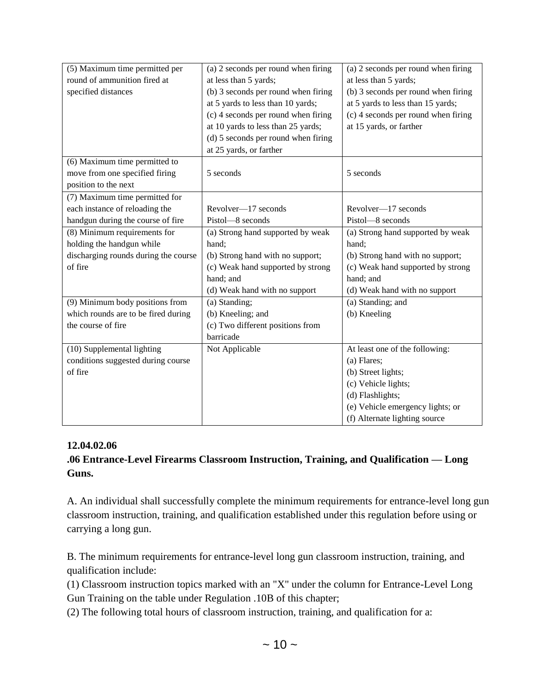| (5) Maximum time permitted per       | (a) 2 seconds per round when firing   | (a) 2 seconds per round when firing |
|--------------------------------------|---------------------------------------|-------------------------------------|
| round of ammunition fired at         | at less than 5 yards;                 | at less than 5 yards;               |
| specified distances                  | (b) 3 seconds per round when firing   | (b) 3 seconds per round when firing |
|                                      | at 5 yards to less than 10 yards;     | at 5 yards to less than 15 yards;   |
|                                      | $(c)$ 4 seconds per round when firing | (c) 4 seconds per round when firing |
|                                      | at 10 yards to less than 25 yards;    | at 15 yards, or farther             |
|                                      | (d) 5 seconds per round when firing   |                                     |
|                                      | at 25 yards, or farther               |                                     |
| (6) Maximum time permitted to        |                                       |                                     |
| move from one specified firing       | 5 seconds                             | 5 seconds                           |
| position to the next                 |                                       |                                     |
| (7) Maximum time permitted for       |                                       |                                     |
| each instance of reloading the       | Revolver-17 seconds                   | Revolver-17 seconds                 |
| handgun during the course of fire    | Pistol-8 seconds                      | Pistol-8 seconds                    |
| (8) Minimum requirements for         | (a) Strong hand supported by weak     | (a) Strong hand supported by weak   |
| holding the handgun while            | hand;                                 | hand;                               |
| discharging rounds during the course | (b) Strong hand with no support;      | (b) Strong hand with no support;    |
| of fire                              | (c) Weak hand supported by strong     | (c) Weak hand supported by strong   |
|                                      | hand; and                             | hand; and                           |
|                                      | (d) Weak hand with no support         | (d) Weak hand with no support       |
| (9) Minimum body positions from      | (a) Standing;                         | (a) Standing; and                   |
| which rounds are to be fired during  | (b) Kneeling; and                     | (b) Kneeling                        |
| the course of fire                   | (c) Two different positions from      |                                     |
|                                      | barricade                             |                                     |
| (10) Supplemental lighting           | Not Applicable                        | At least one of the following:      |
| conditions suggested during course   |                                       | (a) Flares;                         |
| of fire                              |                                       | (b) Street lights;                  |
|                                      |                                       | (c) Vehicle lights;                 |
|                                      |                                       | (d) Flashlights;                    |
|                                      |                                       | (e) Vehicle emergency lights; or    |
|                                      |                                       | (f) Alternate lighting source       |

### **12.04.02.06**

## **.06 Entrance-Level Firearms Classroom Instruction, Training, and Qualification — Long Guns.**

A. An individual shall successfully complete the minimum requirements for entrance-level long gun classroom instruction, training, and qualification established under this regulation before using or carrying a long gun.

B. The minimum requirements for entrance-level long gun classroom instruction, training, and qualification include:

(1) Classroom instruction topics marked with an "X" under the column for Entrance-Level Long Gun Training on the table under Regulation .10B of this chapter;

(2) The following total hours of classroom instruction, training, and qualification for a: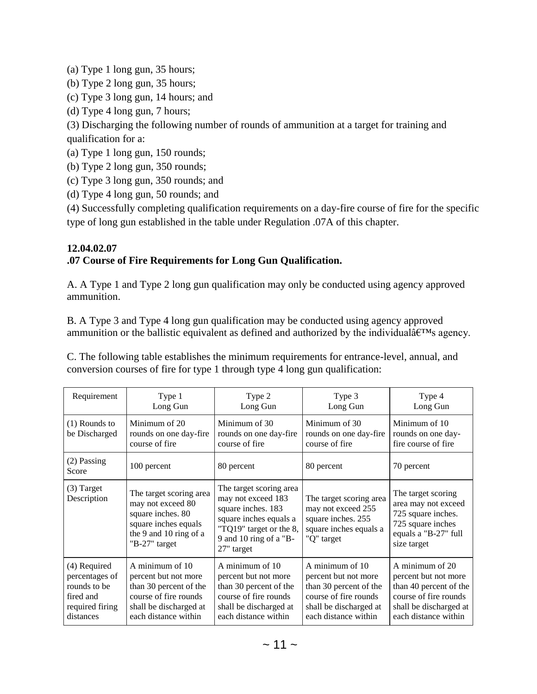(a) Type 1 long gun, 35 hours;

(b) Type 2 long gun, 35 hours;

- (c) Type 3 long gun, 14 hours; and
- (d) Type 4 long gun, 7 hours;

(3) Discharging the following number of rounds of ammunition at a target for training and qualification for a:

(a) Type 1 long gun, 150 rounds;

(b) Type 2 long gun, 350 rounds;

(c) Type 3 long gun, 350 rounds; and

(d) Type 4 long gun, 50 rounds; and

(4) Successfully completing qualification requirements on a day-fire course of fire for the specific type of long gun established in the table under Regulation .07A of this chapter.

### **12.04.02.07**

## **.07 Course of Fire Requirements for Long Gun Qualification.**

A. A Type 1 and Type 2 long gun qualification may only be conducted using agency approved ammunition.

B. A Type 3 and Type 4 long gun qualification may be conducted using agency approved ammunition or the ballistic equivalent as defined and authorized by the individual $\hat{\mathbf{a}} \in \mathbb{M}$ s agency.

C. The following table establishes the minimum requirements for entrance-level, annual, and conversion courses of fire for type 1 through type 4 long gun qualification:

| Requirement                                                                                 | Type 1<br>Long Gun                                                                                                                           | Type 2<br>Long Gun                                                                                                                                               | Type 3<br>Long Gun                                                                                                                           | Type 4<br>Long Gun                                                                                                                           |
|---------------------------------------------------------------------------------------------|----------------------------------------------------------------------------------------------------------------------------------------------|------------------------------------------------------------------------------------------------------------------------------------------------------------------|----------------------------------------------------------------------------------------------------------------------------------------------|----------------------------------------------------------------------------------------------------------------------------------------------|
| $(1)$ Rounds to<br>be Discharged                                                            | Minimum of 20<br>rounds on one day-fire<br>course of fire                                                                                    | Minimum of 30<br>rounds on one day-fire<br>course of fire                                                                                                        | Minimum of 30<br>rounds on one day-fire<br>course of fire                                                                                    | Minimum of 10<br>rounds on one day-<br>fire course of fire.                                                                                  |
| $(2)$ Passing<br>Score                                                                      | 100 percent                                                                                                                                  | 80 percent                                                                                                                                                       | 80 percent                                                                                                                                   | 70 percent                                                                                                                                   |
| $(3)$ Target<br>Description                                                                 | The target scoring area<br>may not exceed 80<br>square inches. 80<br>square inches equals<br>the 9 and 10 ring of a<br>" $B-27$ " target     | The target scoring area<br>may not exceed 183<br>square inches. 183<br>square inches equals a<br>"TQ19" target or the 8,<br>9 and 10 ring of a "B-<br>27" target | The target scoring area<br>may not exceed 255<br>square inches. 255<br>square inches equals a<br>"Q" target                                  | The target scoring<br>area may not exceed<br>725 square inches.<br>725 square inches<br>equals a "B-27" full<br>size target                  |
| (4) Required<br>percentages of<br>rounds to be<br>fired and<br>required firing<br>distances | A minimum of 10<br>percent but not more<br>than 30 percent of the<br>course of fire rounds<br>shall be discharged at<br>each distance within | A minimum of 10<br>percent but not more<br>than 30 percent of the<br>course of fire rounds<br>shall be discharged at<br>each distance within                     | A minimum of 10<br>percent but not more<br>than 30 percent of the<br>course of fire rounds<br>shall be discharged at<br>each distance within | A minimum of 20<br>percent but not more<br>than 40 percent of the<br>course of fire rounds<br>shall be discharged at<br>each distance within |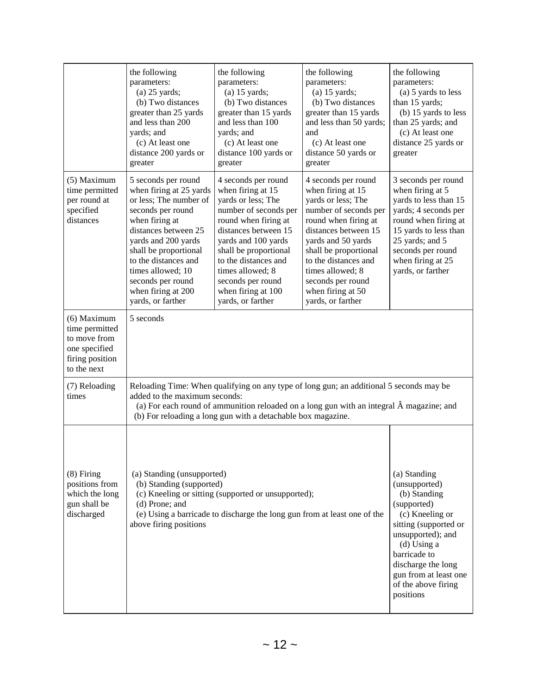|                                                                                                  | the following<br>parameters:<br>$(a)$ 25 yards;<br>(b) Two distances<br>greater than 25 yards<br>and less than 200<br>yards; and<br>(c) At least one<br>distance 200 yards or<br>greater                                                                                                             | the following<br>parameters:<br>$(a)$ 15 yards;<br>(b) Two distances<br>greater than 15 yards<br>and less than 100<br>yards; and<br>(c) At least one<br>distance 100 yards or<br>greater                                                                                                            | the following<br>parameters:<br>$(a)$ 15 yards;<br>(b) Two distances<br>greater than 15 yards<br>and less than 50 yards;<br>and<br>(c) At least one<br>distance 50 yards or<br>greater                                                                                                            | the following<br>parameters:<br>(a) 5 yards to less<br>than 15 yards;<br>(b) 15 yards to less<br>than 25 yards; and<br>(c) At least one<br>distance 25 yards or<br>greater                                                  |  |  |
|--------------------------------------------------------------------------------------------------|------------------------------------------------------------------------------------------------------------------------------------------------------------------------------------------------------------------------------------------------------------------------------------------------------|-----------------------------------------------------------------------------------------------------------------------------------------------------------------------------------------------------------------------------------------------------------------------------------------------------|---------------------------------------------------------------------------------------------------------------------------------------------------------------------------------------------------------------------------------------------------------------------------------------------------|-----------------------------------------------------------------------------------------------------------------------------------------------------------------------------------------------------------------------------|--|--|
| (5) Maximum<br>time permitted<br>per round at<br>specified<br>distances                          | 5 seconds per round<br>when firing at 25 yards<br>or less; The number of<br>seconds per round<br>when firing at<br>distances between 25<br>yards and 200 yards<br>shall be proportional<br>to the distances and<br>times allowed; 10<br>seconds per round<br>when firing at 200<br>yards, or farther | 4 seconds per round<br>when firing at 15<br>yards or less; The<br>number of seconds per<br>round when firing at<br>distances between 15<br>yards and 100 yards<br>shall be proportional<br>to the distances and<br>times allowed; 8<br>seconds per round<br>when firing at 100<br>yards, or farther | 4 seconds per round<br>when firing at 15<br>yards or less; The<br>number of seconds per<br>round when firing at<br>distances between 15<br>yards and 50 yards<br>shall be proportional<br>to the distances and<br>times allowed; 8<br>seconds per round<br>when firing at 50<br>yards, or farther | 3 seconds per round<br>when firing at 5<br>yards to less than 15<br>yards; 4 seconds per<br>round when firing at<br>15 yards to less than<br>25 yards; and 5<br>seconds per round<br>when firing at 25<br>yards, or farther |  |  |
| (6) Maximum<br>time permitted<br>to move from<br>one specified<br>firing position<br>to the next | 5 seconds                                                                                                                                                                                                                                                                                            |                                                                                                                                                                                                                                                                                                     |                                                                                                                                                                                                                                                                                                   |                                                                                                                                                                                                                             |  |  |
| (7) Reloading<br>times                                                                           | added to the maximum seconds:                                                                                                                                                                                                                                                                        | Reloading Time: When qualifying on any type of long gun; an additional 5 seconds may be<br>(a) For each round of ammunition reloaded on a long gun with an integral  magazine; and<br>(b) For reloading a long gun with a detachable box magazine.                                                  |                                                                                                                                                                                                                                                                                                   |                                                                                                                                                                                                                             |  |  |
| $(8)$ Firing<br>positions from<br>which the long<br>gun shall be<br>discharged                   | (a) Standing (unsupported)<br>(b) Standing (supported)<br>(d) Prone; and<br>above firing positions                                                                                                                                                                                                   | (c) Kneeling or sitting (supported or unsupported);<br>(e) Using a barricade to discharge the long gun from at least one of the                                                                                                                                                                     | (a) Standing<br>(unsupported)<br>(b) Standing<br>(supported)<br>(c) Kneeling or<br>sitting (supported or<br>unsupported); and<br>$(d)$ Using a<br>barricade to<br>discharge the long<br>gun from at least one<br>of the above firing<br>positions                                                 |                                                                                                                                                                                                                             |  |  |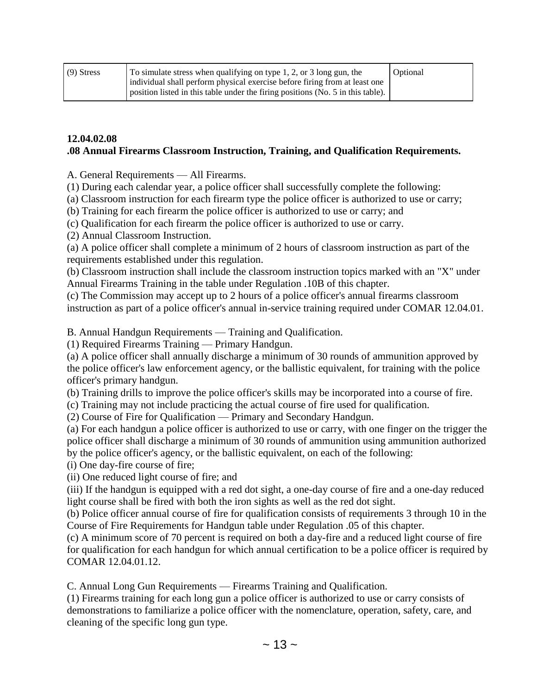| $(9)$ Stress | To simulate stress when qualifying on type 1, 2, or 3 long gun, the                           | Optional |
|--------------|-----------------------------------------------------------------------------------------------|----------|
|              | individual shall perform physical exercise before firing from at least one                    |          |
|              | position listed in this table under the firing positions (No. 5 in this table). $\frac{1}{2}$ |          |

#### **12.04.02.08 .08 Annual Firearms Classroom Instruction, Training, and Qualification Requirements.**

A. General Requirements — All Firearms.

(1) During each calendar year, a police officer shall successfully complete the following:

(a) Classroom instruction for each firearm type the police officer is authorized to use or carry;

(b) Training for each firearm the police officer is authorized to use or carry; and

(c) Qualification for each firearm the police officer is authorized to use or carry.

(2) Annual Classroom Instruction.

(a) A police officer shall complete a minimum of 2 hours of classroom instruction as part of the requirements established under this regulation.

(b) Classroom instruction shall include the classroom instruction topics marked with an "X" under Annual Firearms Training in the table under Regulation .10B of this chapter.

(c) The Commission may accept up to 2 hours of a police officer's annual firearms classroom instruction as part of a police officer's annual in-service training required under COMAR 12.04.01.

B. Annual Handgun Requirements — Training and Qualification.

(1) Required Firearms Training — Primary Handgun.

(a) A police officer shall annually discharge a minimum of 30 rounds of ammunition approved by the police officer's law enforcement agency, or the ballistic equivalent, for training with the police officer's primary handgun.

(b) Training drills to improve the police officer's skills may be incorporated into a course of fire.

(c) Training may not include practicing the actual course of fire used for qualification.

(2) Course of Fire for Qualification — Primary and Secondary Handgun.

(a) For each handgun a police officer is authorized to use or carry, with one finger on the trigger the police officer shall discharge a minimum of 30 rounds of ammunition using ammunition authorized by the police officer's agency, or the ballistic equivalent, on each of the following:

(i) One day-fire course of fire;

(ii) One reduced light course of fire; and

(iii) If the handgun is equipped with a red dot sight, a one-day course of fire and a one-day reduced light course shall be fired with both the iron sights as well as the red dot sight.

(b) Police officer annual course of fire for qualification consists of requirements 3 through 10 in the Course of Fire Requirements for Handgun table under Regulation .05 of this chapter.

(c) A minimum score of 70 percent is required on both a day-fire and a reduced light course of fire for qualification for each handgun for which annual certification to be a police officer is required by COMAR 12.04.01.12.

C. Annual Long Gun Requirements — Firearms Training and Qualification.

(1) Firearms training for each long gun a police officer is authorized to use or carry consists of demonstrations to familiarize a police officer with the nomenclature, operation, safety, care, and cleaning of the specific long gun type.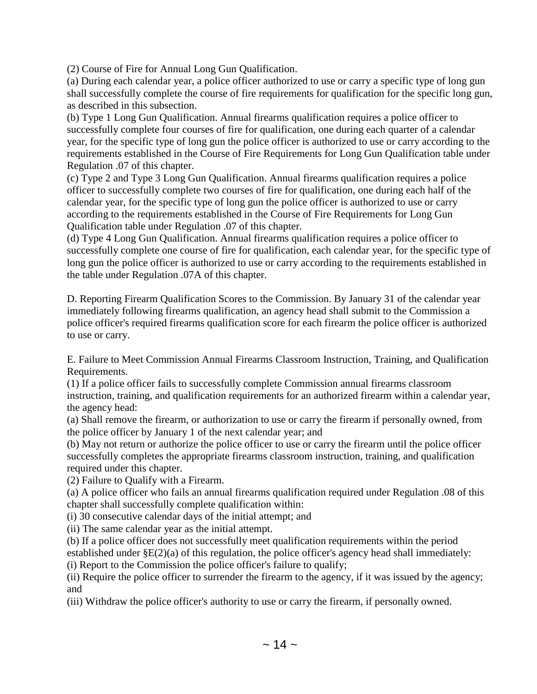(2) Course of Fire for Annual Long Gun Qualification.

(a) During each calendar year, a police officer authorized to use or carry a specific type of long gun shall successfully complete the course of fire requirements for qualification for the specific long gun, as described in this subsection.

(b) Type 1 Long Gun Qualification. Annual firearms qualification requires a police officer to successfully complete four courses of fire for qualification, one during each quarter of a calendar year, for the specific type of long gun the police officer is authorized to use or carry according to the requirements established in the Course of Fire Requirements for Long Gun Qualification table under Regulation .07 of this chapter.

(c) Type 2 and Type 3 Long Gun Qualification. Annual firearms qualification requires a police officer to successfully complete two courses of fire for qualification, one during each half of the calendar year, for the specific type of long gun the police officer is authorized to use or carry according to the requirements established in the Course of Fire Requirements for Long Gun Qualification table under Regulation .07 of this chapter.

(d) Type 4 Long Gun Qualification. Annual firearms qualification requires a police officer to successfully complete one course of fire for qualification, each calendar year, for the specific type of long gun the police officer is authorized to use or carry according to the requirements established in the table under Regulation .07A of this chapter.

D. Reporting Firearm Qualification Scores to the Commission. By January 31 of the calendar year immediately following firearms qualification, an agency head shall submit to the Commission a police officer's required firearms qualification score for each firearm the police officer is authorized to use or carry.

E. Failure to Meet Commission Annual Firearms Classroom Instruction, Training, and Qualification Requirements.

(1) If a police officer fails to successfully complete Commission annual firearms classroom instruction, training, and qualification requirements for an authorized firearm within a calendar year, the agency head:

(a) Shall remove the firearm, or authorization to use or carry the firearm if personally owned, from the police officer by January 1 of the next calendar year; and

(b) May not return or authorize the police officer to use or carry the firearm until the police officer successfully completes the appropriate firearms classroom instruction, training, and qualification required under this chapter.

(2) Failure to Qualify with a Firearm.

(a) A police officer who fails an annual firearms qualification required under Regulation .08 of this chapter shall successfully complete qualification within:

(i) 30 consecutive calendar days of the initial attempt; and

(ii) The same calendar year as the initial attempt.

(b) If a police officer does not successfully meet qualification requirements within the period established under  $\S E(2)(a)$  of this regulation, the police officer's agency head shall immediately:

(i) Report to the Commission the police officer's failure to qualify;

(ii) Require the police officer to surrender the firearm to the agency, if it was issued by the agency; and

(iii) Withdraw the police officer's authority to use or carry the firearm, if personally owned.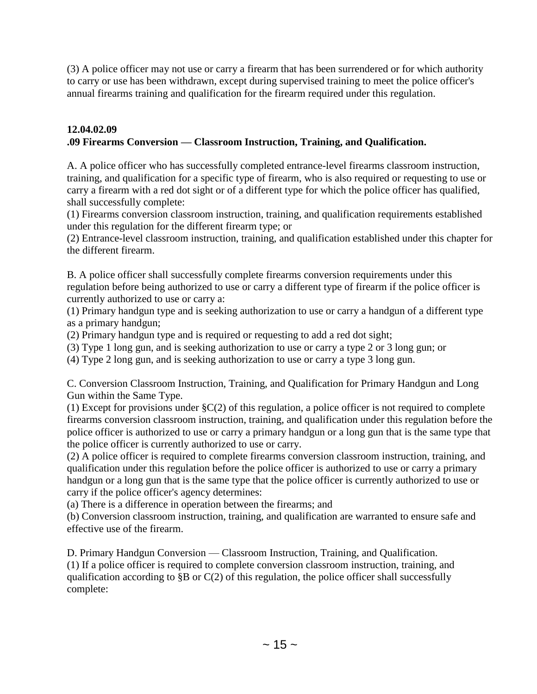(3) A police officer may not use or carry a firearm that has been surrendered or for which authority to carry or use has been withdrawn, except during supervised training to meet the police officer's annual firearms training and qualification for the firearm required under this regulation.

## **12.04.02.09 .09 Firearms Conversion — Classroom Instruction, Training, and Qualification.**

A. A police officer who has successfully completed entrance-level firearms classroom instruction, training, and qualification for a specific type of firearm, who is also required or requesting to use or carry a firearm with a red dot sight or of a different type for which the police officer has qualified, shall successfully complete:

(1) Firearms conversion classroom instruction, training, and qualification requirements established under this regulation for the different firearm type; or

(2) Entrance-level classroom instruction, training, and qualification established under this chapter for the different firearm.

B. A police officer shall successfully complete firearms conversion requirements under this regulation before being authorized to use or carry a different type of firearm if the police officer is currently authorized to use or carry a:

(1) Primary handgun type and is seeking authorization to use or carry a handgun of a different type as a primary handgun;

(2) Primary handgun type and is required or requesting to add a red dot sight;

(3) Type 1 long gun, and is seeking authorization to use or carry a type 2 or 3 long gun; or

(4) Type 2 long gun, and is seeking authorization to use or carry a type 3 long gun.

C. Conversion Classroom Instruction, Training, and Qualification for Primary Handgun and Long Gun within the Same Type.

(1) Except for provisions under §C(2) of this regulation, a police officer is not required to complete firearms conversion classroom instruction, training, and qualification under this regulation before the police officer is authorized to use or carry a primary handgun or a long gun that is the same type that the police officer is currently authorized to use or carry.

(2) A police officer is required to complete firearms conversion classroom instruction, training, and qualification under this regulation before the police officer is authorized to use or carry a primary handgun or a long gun that is the same type that the police officer is currently authorized to use or carry if the police officer's agency determines:

(a) There is a difference in operation between the firearms; and

(b) Conversion classroom instruction, training, and qualification are warranted to ensure safe and effective use of the firearm.

D. Primary Handgun Conversion — Classroom Instruction, Training, and Qualification. (1) If a police officer is required to complete conversion classroom instruction, training, and qualification according to §B or C(2) of this regulation, the police officer shall successfully complete: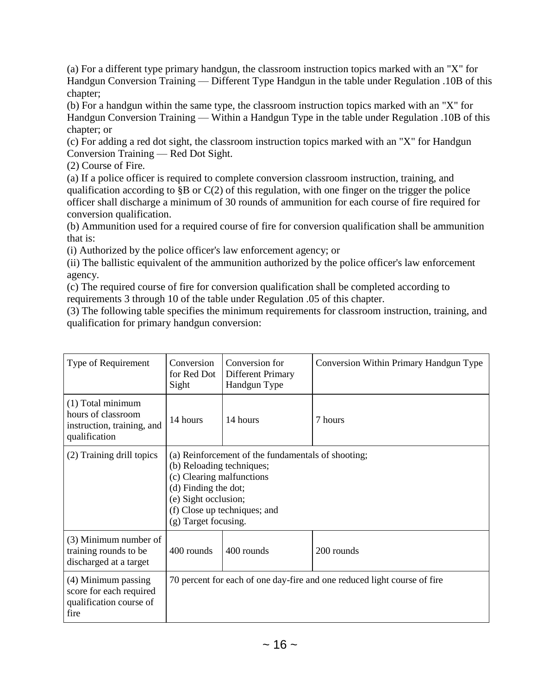(a) For a different type primary handgun, the classroom instruction topics marked with an "X" for Handgun Conversion Training — Different Type Handgun in the table under Regulation .10B of this chapter;

(b) For a handgun within the same type, the classroom instruction topics marked with an "X" for Handgun Conversion Training — Within a Handgun Type in the table under Regulation .10B of this chapter; or

(c) For adding a red dot sight, the classroom instruction topics marked with an "X" for Handgun Conversion Training — Red Dot Sight.

(2) Course of Fire.

(a) If a police officer is required to complete conversion classroom instruction, training, and qualification according to §B or C(2) of this regulation, with one finger on the trigger the police officer shall discharge a minimum of 30 rounds of ammunition for each course of fire required for conversion qualification.

(b) Ammunition used for a required course of fire for conversion qualification shall be ammunition that is:

(i) Authorized by the police officer's law enforcement agency; or

(ii) The ballistic equivalent of the ammunition authorized by the police officer's law enforcement agency.

(c) The required course of fire for conversion qualification shall be completed according to requirements 3 through 10 of the table under Regulation .05 of this chapter.

(3) The following table specifies the minimum requirements for classroom instruction, training, and qualification for primary handgun conversion:

| Type of Requirement                                                                    | Conversion<br>for Red Dot<br>Sight | Conversion for<br>Different Primary<br>Handgun Type                                                                                                                                                                  | Conversion Within Primary Handgun Type                                   |  |  |
|----------------------------------------------------------------------------------------|------------------------------------|----------------------------------------------------------------------------------------------------------------------------------------------------------------------------------------------------------------------|--------------------------------------------------------------------------|--|--|
| (1) Total minimum<br>hours of classroom<br>instruction, training, and<br>qualification | 14 hours                           | 14 hours                                                                                                                                                                                                             | 7 hours                                                                  |  |  |
| (2) Training drill topics                                                              |                                    | (a) Reinforcement of the fundamentals of shooting;<br>(b) Reloading techniques;<br>(c) Clearing malfunctions<br>(d) Finding the dot;<br>(e) Sight occlusion;<br>(f) Close up techniques; and<br>(g) Target focusing. |                                                                          |  |  |
| (3) Minimum number of<br>training rounds to be<br>discharged at a target               | 400 rounds                         | 400 rounds                                                                                                                                                                                                           | 200 rounds                                                               |  |  |
| (4) Minimum passing<br>score for each required<br>qualification course of<br>fire      |                                    |                                                                                                                                                                                                                      | 70 percent for each of one day-fire and one reduced light course of fire |  |  |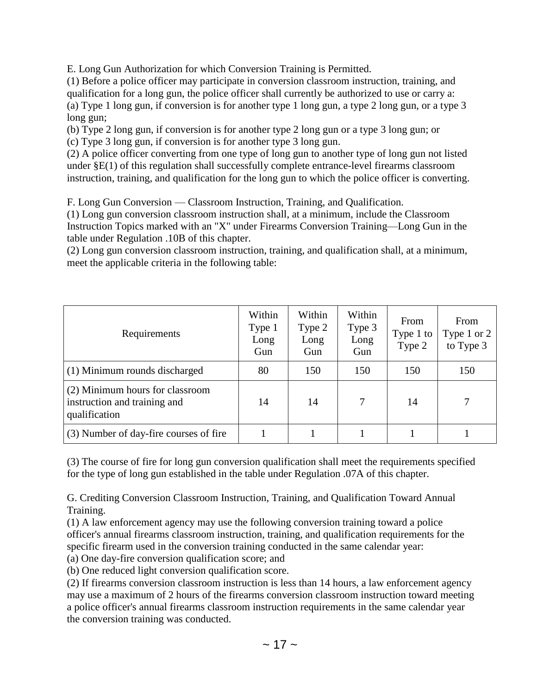E. Long Gun Authorization for which Conversion Training is Permitted.

(1) Before a police officer may participate in conversion classroom instruction, training, and qualification for a long gun, the police officer shall currently be authorized to use or carry a: (a) Type 1 long gun, if conversion is for another type 1 long gun, a type 2 long gun, or a type 3 long gun;

(b) Type 2 long gun, if conversion is for another type 2 long gun or a type 3 long gun; or

(c) Type 3 long gun, if conversion is for another type 3 long gun.

(2) A police officer converting from one type of long gun to another type of long gun not listed under §E(1) of this regulation shall successfully complete entrance-level firearms classroom instruction, training, and qualification for the long gun to which the police officer is converting.

F. Long Gun Conversion — Classroom Instruction, Training, and Qualification.

(1) Long gun conversion classroom instruction shall, at a minimum, include the Classroom Instruction Topics marked with an "X" under Firearms Conversion Training—Long Gun in the table under Regulation .10B of this chapter.

(2) Long gun conversion classroom instruction, training, and qualification shall, at a minimum, meet the applicable criteria in the following table:

| Requirements                                                                     | Within<br>Type 1<br>Long<br>Gun | Within<br>Type 2<br>Long<br>Gun | Within<br>Type 3<br>Long<br>Gun | From<br>Type 1 to<br>Type 2 | From<br>Type 1 or 2<br>to Type 3 |
|----------------------------------------------------------------------------------|---------------------------------|---------------------------------|---------------------------------|-----------------------------|----------------------------------|
| (1) Minimum rounds discharged                                                    | 80                              | 150                             | 150                             | 150                         | 150                              |
| (2) Minimum hours for classroom<br>instruction and training and<br>qualification | 14                              | 14                              |                                 | 14                          |                                  |
| (3) Number of day-fire courses of fire                                           |                                 |                                 |                                 |                             |                                  |

(3) The course of fire for long gun conversion qualification shall meet the requirements specified for the type of long gun established in the table under Regulation .07A of this chapter.

G. Crediting Conversion Classroom Instruction, Training, and Qualification Toward Annual Training.

(1) A law enforcement agency may use the following conversion training toward a police officer's annual firearms classroom instruction, training, and qualification requirements for the specific firearm used in the conversion training conducted in the same calendar year:

(a) One day-fire conversion qualification score; and

(b) One reduced light conversion qualification score.

(2) If firearms conversion classroom instruction is less than 14 hours, a law enforcement agency may use a maximum of 2 hours of the firearms conversion classroom instruction toward meeting a police officer's annual firearms classroom instruction requirements in the same calendar year the conversion training was conducted.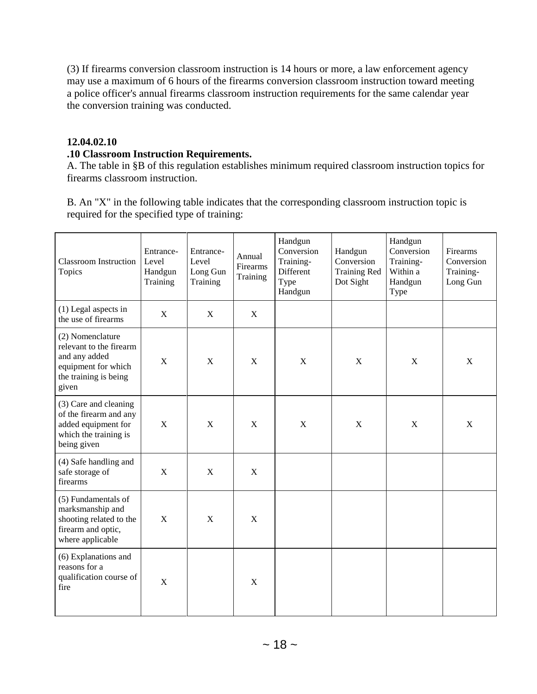(3) If firearms conversion classroom instruction is 14 hours or more, a law enforcement agency may use a maximum of 6 hours of the firearms conversion classroom instruction toward meeting a police officer's annual firearms classroom instruction requirements for the same calendar year the conversion training was conducted.

### **12.04.02.10**

#### **.10 Classroom Instruction Requirements.**

A. The table in §B of this regulation establishes minimum required classroom instruction topics for firearms classroom instruction.

B. An "X" in the following table indicates that the corresponding classroom instruction topic is required for the specified type of training:

| <b>Classroom Instruction</b><br>Topics                                                                                | Entrance-<br>Level<br>Handgun<br>Training | Entrance-<br>Level<br>Long Gun<br>Training | Annual<br>Firearms<br>Training | Handgun<br>Conversion<br>Training-<br>Different<br>Type<br>Handgun | Handgun<br>Conversion<br><b>Training Red</b><br>Dot Sight | Handgun<br>Conversion<br>Training-<br>Within a<br>Handgun<br>Type | Firearms<br>Conversion<br>Training-<br>Long Gun |
|-----------------------------------------------------------------------------------------------------------------------|-------------------------------------------|--------------------------------------------|--------------------------------|--------------------------------------------------------------------|-----------------------------------------------------------|-------------------------------------------------------------------|-------------------------------------------------|
| $(1)$ Legal aspects in<br>the use of firearms                                                                         | $\mathbf X$                               | X                                          | $\mathbf X$                    |                                                                    |                                                           |                                                                   |                                                 |
| (2) Nomenclature<br>relevant to the firearm<br>and any added<br>equipment for which<br>the training is being<br>given | X                                         | X                                          | X                              | $\mathbf X$                                                        | X                                                         | X                                                                 | $\mathbf X$                                     |
| (3) Care and cleaning<br>of the firearm and any<br>added equipment for<br>which the training is<br>being given        | $\mathbf X$                               | $\mathbf X$                                | $\mathbf X$                    | $\mathbf X$                                                        | $\mathbf X$                                               | $\mathbf X$                                                       | $\mathbf X$                                     |
| (4) Safe handling and<br>safe storage of<br>firearms                                                                  | $\mathbf X$                               | $\mathbf X$                                | $\mathbf X$                    |                                                                    |                                                           |                                                                   |                                                 |
| (5) Fundamentals of<br>marksmanship and<br>shooting related to the<br>firearm and optic,<br>where applicable          | X                                         | X                                          | X                              |                                                                    |                                                           |                                                                   |                                                 |
| (6) Explanations and<br>reasons for a<br>qualification course of<br>fire                                              | X                                         |                                            | X                              |                                                                    |                                                           |                                                                   |                                                 |